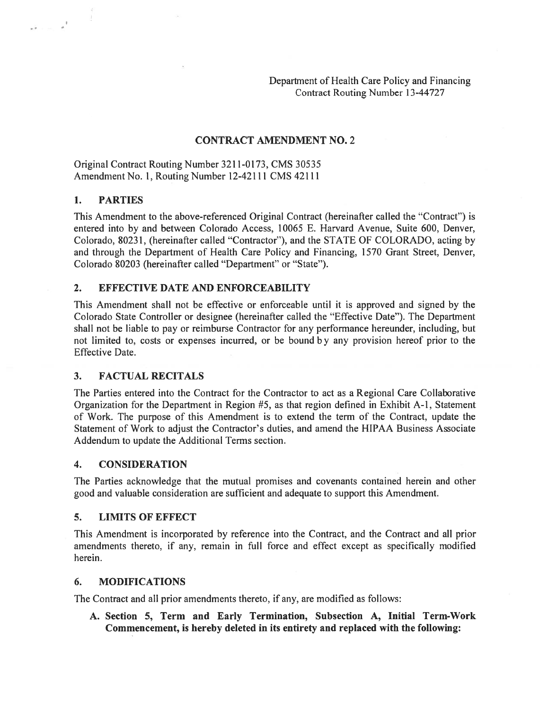Department of Health Care Policy and Financing Contract Routing Number 13-44727

### CONTRACT AMENDMENT NO.2

Original Contract Routing Number 3211-0173, CMS 30535 Amendment No. 1, Routing Number 12-42111 CMS 42111

#### 1. PARTIES

 $\label{eq:1} \begin{array}{ll} \mathbf{a}^{\mathsf{T}}+\mathbf{a} & \mathbf{a}^{\mathsf{T}}\\ \mathbf{a}^{\mathsf{T}}+\mathbf{a} & \mathbf{a}^{\mathsf{T}} \end{array}$ 

This Amendment to the above-referenced Original Contract (hereinafter called the "Contract") is entered into by and between Colorado Access, 10065 E. Harvard Avenue, Suite 600, Denver, Colorado, 80231, (hereinafter called "Contractor"), and the STATE OF COLORADO, acting by and through the Department of Health Care Policy and Financing, 1570 Grant Street, Denver, Colorado 80203 (hereinafter called "Department" or "State").

### 2. EFFECTIVE DATE AND ENFORCEABILITY

This Amendment shall not be effective or enforceable until it is approved and signed by the Colorado State Controller or designee (hereinafter called the "Effective Date"). The Department shall not be liable to pay or reimburse Contractor for any performance hereunder, including, but not limited to, costs or expenses incurred, or be bound b <sup>y</sup> any provision hereof prior to the Effective Date.

### 3. FACTUAL RECITALS

The Parties entered into the Contract for the Contractor to act as <sup>a</sup> Regional Care Collaborative Organization for the Department in Region #5, as that region defined in Exhibit A-1, Statement of Work. The purpose of this Amendment is to extend the term of the Contract, update the Statement of Work to adjust the Contractor's duties, and amend the HIPAA Business Associate Addendum to update the Additional Terms section.

### 4. CONSIDERATION

The Parties acknowledge that the mutual promises and covenants contained herein and other good and valuable consideration are sufficient and adequate to suppor<sup>t</sup> this Amendment.

#### 5. LIMITS OF EFFECT

This Amendment is incorporated by reference into the Contract, and the Contract and all prior amendments thereto, if any, remain in full force and effect excep<sup>t</sup> as specifically modified herein.

#### 6. MODIFICATIONS

The Contract and all prior amendments thereto, if any, are modified as follows:

A. Section 5, Term and Early Termination, Subsection A, Initial Term-Work Commencement, is hereby deleted in its entirety and replaced with the following: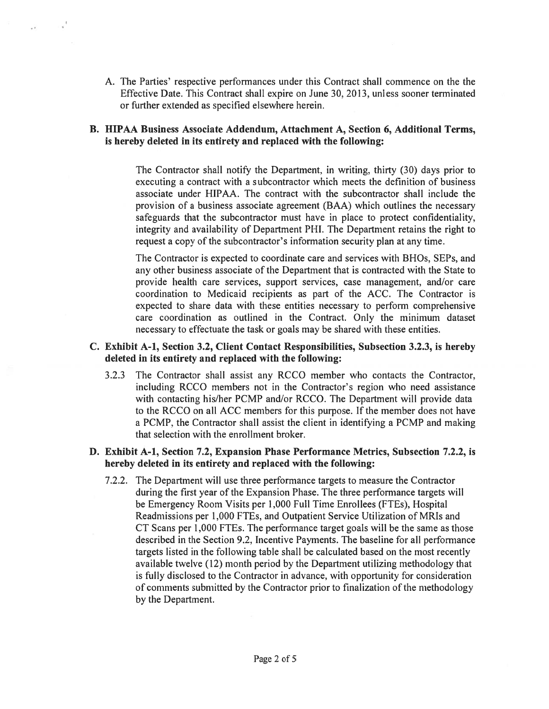A. The Parties' respective performances under this Contract shall commence on the the Effective Date. This Contract shall expire on June 30, 2013, unless sooner terminated or further extended as specified elsewhere herein.

# B. HIPAA Business Associate Addendum, Attachment A, Section 6, Additional Terms, is hereby deleted in its entirety and replaced with the following:

The Contractor shall notify the Department, in writing, thirty (30) days prior to executing <sup>a</sup> contract with <sup>a</sup> subcontractor which meets the definition of business associate under HIPAA. The contract with the subcontractor shall include the provision of <sup>a</sup> business associate agreemen<sup>t</sup> (BAA) which outlines the necessary safeguards that the subcontractor must have in place to protect confidentiality, integrity and availability of Department PHI. The Department retains the right to reques<sup>t</sup> <sup>a</sup> copy of the subcontractor's information security plan at any time.

The Contractor is expected to coordinate care and services with BHOs, SEPs, and any other business associate of the Department that is contracted with the State to provide health care services, suppor<sup>t</sup> services, case management, and/or care coordination to Medicaid recipients as par<sup>t</sup> of the ACC. The Contractor is expected to share data with these entities necessary to perform comprehensive care coordination as outlined in the Contract. Only the minimum dataset necessary to effectuate the task or goals may be shared with these entities.

### C. Exhibit A-i, Section 3.2, Client Contact Responsibilities, Subsection 3.2.3, is hereby deleted in its entirety and replaced with the following:

3.2.3 The Contractor shall assist any RCCO member who contacts the Contractor, including RCCO members not in the Contractor's region who need assistance with contacting his/her PCMP and/or RCCO. The Department will provide data to the RCCO on all ACC members for this purpose. If the member does not have <sup>a</sup> PCMP, the Contractor shall assist the client in identifying <sup>a</sup> PCMP and making that selection with the enrollment broker.

### D. Exhibit A-i, Section 7.2, Expansion Phase Performance Metrics, Subsection 7.2.2, is hereby deleted in its entirety and replaced with the following:

7.2.2. The Department will use three performance targets to measure the Contractor during the first year of the Expansion Phase. The three performance targets will be Emergency Room Visits per 1,000 Full Time Enrollees (FTEs), Hospital Readmissions per 1,000 FTEs, and Outpatient Service Utilization of MRIs and CT Scans per 1,000 FTEs. The performance target goals will be the same as those described in the Section 9.2, Incentive Payments. The baseline for all performance targets listed in the following table shall be calculated based on the most recently available twelve (12) month period by the Department utilizing methodology that is fully disclosed to the Contractor in advance, with opportunity for consideration of comments submitted by the Contractor prior to finalization of the methodology by the Department.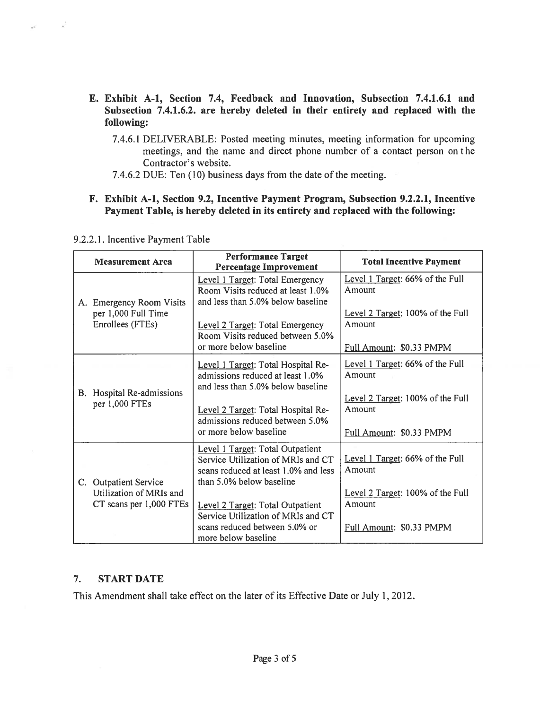- E. Exhibit A-i, Section 7.4, Feedback and Innovation, Subsection 7.4.1.6.1 and Subsection 7.4.1.6.2. are hereby deleted in their entirety and replaced with the following:
	- 7.4.6.1 DELIVERABLE: Posted meeting minutes, meeting information for upcoming meetings, and the name and direct phone number of <sup>a</sup> contact person on <sup>t</sup> he Contractor's website.
	- 7.4.6.2 DUE: Ten (10) business days from the date of the meeting.

# F. Exhibit A-i, Section 9.2, Incentive Payment Program, Subsection 9.2.2.1, Incentive Payment Table, is hereby deleted in its entirety and replaced with the following:

|    | <b>Measurement Area</b>                                                     | <b>Performance Target</b><br><b>Percentage Improvement</b>                                                                                 | <b>Total Incentive Payment</b>                                         |
|----|-----------------------------------------------------------------------------|--------------------------------------------------------------------------------------------------------------------------------------------|------------------------------------------------------------------------|
|    | A. Emergency Room Visits<br>per 1,000 Full Time<br>Enrollees (FTEs)         | Level 1 Target: Total Emergency<br>Room Visits reduced at least 1.0%<br>and less than 5.0% below baseline                                  | Level 1 Target: 66% of the Full<br>Amount                              |
|    |                                                                             | Level 2 Target: Total Emergency<br>Room Visits reduced between 5.0%                                                                        | Level 2 Target: 100% of the Full<br>Amount                             |
|    |                                                                             | or more below baseline                                                                                                                     | Full Amount: \$0.33 PMPM                                               |
|    | Hospital Re-admissions<br>per 1,000 FTEs                                    | Level 1 Target: Total Hospital Re-<br>admissions reduced at least 1.0%<br>and less than 5.0% below baseline                                | Level 1 Target: 66% of the Full<br>Amount                              |
| B. |                                                                             | Level 2 Target: Total Hospital Re-<br>admissions reduced between 5.0%<br>or more below baseline                                            | Level 2 Target: 100% of the Full<br>Amount<br>Full Amount: \$0.33 PMPM |
|    | C. Outpatient Service<br>Utilization of MRIs and<br>CT scans per 1,000 FTEs | Level 1 Target: Total Outpatient<br>Service Utilization of MRIs and CT<br>scans reduced at least 1.0% and less<br>than 5.0% below baseline | Level 1 Target: 66% of the Full<br>Amount                              |
|    |                                                                             |                                                                                                                                            | Level 2 Target: 100% of the Full                                       |
|    |                                                                             | Level 2 Target: Total Outpatient<br>Service Utilization of MRIs and CT                                                                     | Amount                                                                 |
|    |                                                                             | scans reduced between 5.0% or<br>more below baseline                                                                                       | Full Amount: \$0.33 PMPM                                               |

9.2.2.1. Incentive Payment Table

 $\frac{1}{\alpha}$ 

# 7. START DATE

This Amendment shall take effect on the later of its Effective Date or July 1,2012.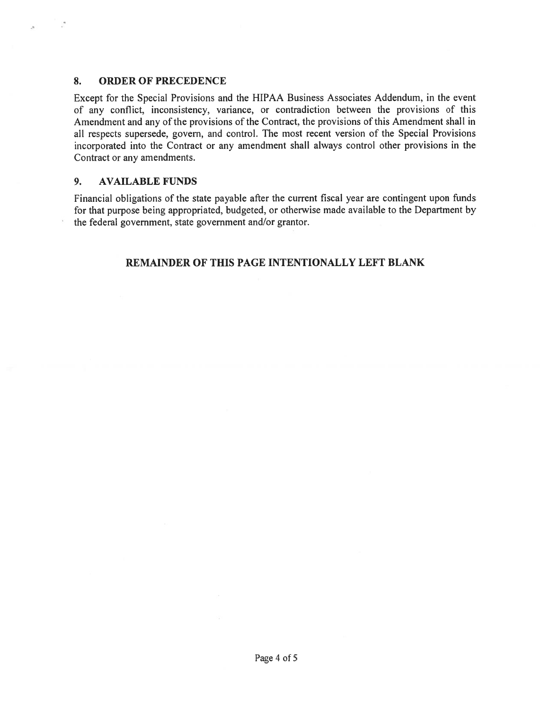### 8. ORDER OF PRECEDENCE

Except for the Special Provisions and the HIPAA Business Associates Addendum, in the event of any conflict, inconsistency, variance, or contradiction between the provisions of this Amendment and any of the provisions of the Contract, the provisions of this Amendment shall in all respects supersede, govern, and control. The most recent version of the Special Provisions incorporated into the Contract or any amendment shall always control other provisions in the Contract or any amendments.

### 9. AVAILABLE FUNDS

Financial obligations of the state payable after the current fiscal year are contingent upon funds for that purpose being appropriated, budgeted, or otherwise made available to the Department by the federal government, state governmen<sup>t</sup> and/or grantor.

# REMAINDER OF THIS PAGE INTENTIONALLY LEFT BLANK